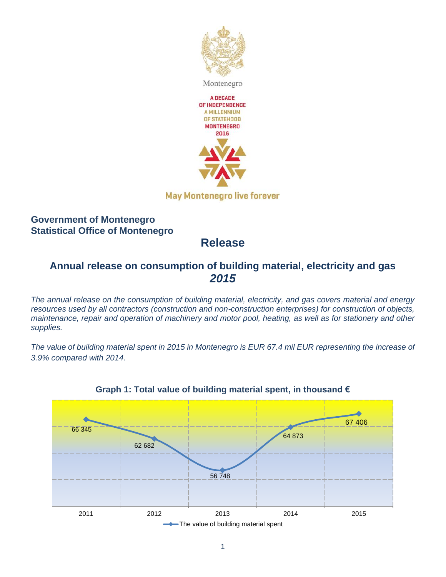

### **Government of Montenegro Statistical Office of Montenegro**

# **Release**

### **Annual release on consumption of building material, electricity and gas** *2015*

*The annual release on the consumption of building material, electricity, and gas covers material and energy*  resources used by all contractors (construction and non-construction enterprises) for construction of objects, *maintenance, repair and operation of machinery and motor pool, heating, as well as for stationery and other supplies.*

*The value of building material spent in 2015 in Montenegro is EUR 67.4 mil EUR representing the increase of 3.9% compared with 2014.*



#### **Graph 1: Total value of building material spent, in thousand €**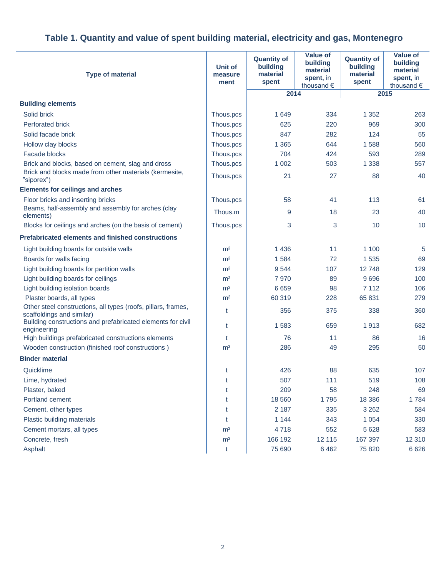| <b>Type of material</b>                                                                    | <b>Unit of</b><br>measure<br>ment | <b>Quantity of</b><br>building<br>material<br>spent | <b>Value of</b><br>building<br>material<br>spent, in<br>thousand $\epsilon$ | <b>Quantity of</b><br>building<br>material<br>spent | <b>Value of</b><br>building<br>material<br>spent, in<br>thousand $\epsilon$ |
|--------------------------------------------------------------------------------------------|-----------------------------------|-----------------------------------------------------|-----------------------------------------------------------------------------|-----------------------------------------------------|-----------------------------------------------------------------------------|
|                                                                                            |                                   | 2014                                                |                                                                             | 2015                                                |                                                                             |
| <b>Building elements</b>                                                                   |                                   |                                                     |                                                                             |                                                     |                                                                             |
| Solid brick                                                                                | Thous.pcs                         | 1649                                                | 334                                                                         | 1 3 5 2                                             | 263                                                                         |
| <b>Perforated brick</b>                                                                    | Thous.pcs                         | 625                                                 | 220                                                                         | 969                                                 | 300                                                                         |
| Solid facade brick                                                                         | Thous.pcs                         | 847                                                 | 282                                                                         | 124                                                 | 55                                                                          |
| Hollow clay blocks                                                                         | Thous.pcs                         | 1 3 6 5                                             | 644                                                                         | 1588                                                | 560                                                                         |
| <b>Facade blocks</b>                                                                       | Thous.pcs                         | 704                                                 | 424                                                                         | 593                                                 | 289                                                                         |
| Brick and blocks, based on cement, slag and dross                                          | Thous.pcs                         | 1 0 0 2                                             | 503                                                                         | 1 3 3 8                                             | 557                                                                         |
| Brick and blocks made from other materials (kermesite,<br>"siporex")                       | Thous.pcs                         | 21                                                  | 27                                                                          | 88                                                  | 40                                                                          |
| <b>Elements for ceilings and arches</b>                                                    |                                   |                                                     |                                                                             |                                                     |                                                                             |
| Floor bricks and inserting bricks                                                          | Thous.pcs                         | 58                                                  | 41                                                                          | 113                                                 | 61                                                                          |
| Beams, half-assembly and assembly for arches (clay<br>elements)                            | Thous.m                           | 9                                                   | 18                                                                          | 23                                                  | 40                                                                          |
| Blocks for ceilings and arches (on the basis of cement)                                    | Thous.pcs                         | 3                                                   | 3                                                                           | 10                                                  | 10                                                                          |
| <b>Prefabricated elements and finished constructions</b>                                   |                                   |                                                     |                                                                             |                                                     |                                                                             |
| Light building boards for outside walls                                                    | m <sup>2</sup>                    | 1436                                                | 11                                                                          | 1 100                                               | 5                                                                           |
| Boards for walls facing                                                                    | m <sup>2</sup>                    | 1584                                                | 72                                                                          | 1 5 3 5                                             | 69                                                                          |
| Light building boards for partition walls                                                  | m <sup>2</sup>                    | 9544                                                | 107                                                                         | 12748                                               | 129                                                                         |
| Light building boards for ceilings                                                         | m <sup>2</sup>                    | 7970                                                | 89                                                                          | 9696                                                | 100                                                                         |
| Light building isolation boards                                                            | m <sup>2</sup>                    | 6659                                                | 98                                                                          | 7 1 1 2                                             | 106                                                                         |
| Plaster boards, all types                                                                  | m <sup>2</sup>                    | 60 319                                              | 228                                                                         | 65 831                                              | 279                                                                         |
| Other steel constructions, all types (roofs, pillars, frames,<br>scaffoldings and similar) | t                                 | 356                                                 | 375                                                                         | 338                                                 | 360                                                                         |
| Building constructions and prefabricated elements for civil<br>engineering                 | t                                 | 1583                                                | 659                                                                         | 1913                                                | 682                                                                         |
| High buildings prefabricated constructions elements                                        | t                                 | 76                                                  | 11                                                                          | 86                                                  | 16                                                                          |
| Wooden construction (finished roof constructions)                                          | m <sup>3</sup>                    | 286                                                 | 49                                                                          | 295                                                 | 50                                                                          |
| <b>Binder material</b>                                                                     |                                   |                                                     |                                                                             |                                                     |                                                                             |
| Quicklime                                                                                  | t                                 | 426                                                 | 88                                                                          | 635                                                 | 107                                                                         |
| Lime, hydrated                                                                             | t                                 | 507                                                 | 111                                                                         | 519                                                 | 108                                                                         |
| Plaster, baked                                                                             | t                                 | 209                                                 | 58                                                                          | 248                                                 | 69                                                                          |
| Portland cement                                                                            | t                                 | 18 560                                              | 1795                                                                        | 18 3 86                                             | 1784                                                                        |
| Cement, other types                                                                        | t                                 | 2 1 8 7                                             | 335                                                                         | 3 2 6 2                                             | 584                                                                         |
| Plastic building materials                                                                 | t                                 | 1 1 4 4                                             | 343                                                                         | 1 0 5 4                                             | 330                                                                         |
| Cement mortars, all types                                                                  | m <sup>3</sup>                    | 4718                                                | 552                                                                         | 5 6 28                                              | 583                                                                         |
| Concrete, fresh                                                                            | m <sup>3</sup>                    | 166 192                                             | 12 115                                                                      | 167 397                                             | 12 3 10                                                                     |
| Asphalt                                                                                    | t                                 | 75 690                                              | 6462                                                                        | 75 820                                              | 6 6 2 6                                                                     |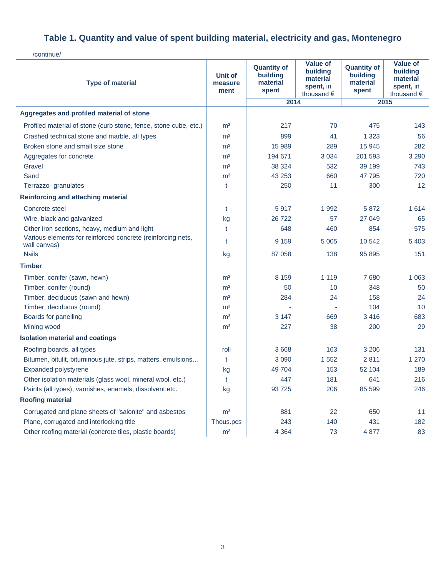/continue/

| <b>Type of material</b>                                                     | Unit of<br>measure<br>ment | <b>Quantity of</b><br>building<br>material<br>spent | <b>Value of</b><br>building<br>material<br>spent, in<br>thousand € | <b>Quantity of</b><br>building<br>material<br>spent | <b>Value of</b><br>building<br>material<br>spent, in<br>thousand € |
|-----------------------------------------------------------------------------|----------------------------|-----------------------------------------------------|--------------------------------------------------------------------|-----------------------------------------------------|--------------------------------------------------------------------|
|                                                                             |                            | 2014                                                |                                                                    | 2015                                                |                                                                    |
| Aggregates and profiled material of stone                                   |                            |                                                     |                                                                    |                                                     |                                                                    |
| Profiled material of stone (curb stone, fence, stone cube, etc.)            | m <sup>3</sup>             | 217                                                 | 70                                                                 | 475                                                 | 143                                                                |
| Crashed technical stone and marble, all types                               | m <sup>3</sup>             | 899                                                 | 41                                                                 | 1 3 2 3                                             | 56                                                                 |
| Broken stone and small size stone                                           | m <sup>3</sup>             | 15 989                                              | 289                                                                | 15 945                                              | 282                                                                |
| Aggregates for concrete                                                     | m <sup>3</sup>             | 194 671                                             | 3 0 3 4                                                            | 201 593                                             | 3 2 9 0                                                            |
| Gravel                                                                      | m <sup>3</sup>             | 38 324                                              | 532                                                                | 39 199                                              | 743                                                                |
| Sand                                                                        | m <sup>3</sup>             | 43 253                                              | 660                                                                | 47 795                                              | 720                                                                |
| Terrazzo- granulates                                                        | t                          | 250                                                 | 11                                                                 | 300                                                 | 12 <sup>2</sup>                                                    |
| Reinforcing and attaching material                                          |                            |                                                     |                                                                    |                                                     |                                                                    |
| Concrete steel                                                              | t                          | 5917                                                | 1992                                                               | 5872                                                | 1614                                                               |
| Wire, black and galvanized                                                  | kg                         | 26722                                               | 57                                                                 | 27 049                                              | 65                                                                 |
| Other iron sections, heavy, medium and light                                | t                          | 648                                                 | 460                                                                | 854                                                 | 575                                                                |
| Various elements for reinforced concrete (reinforcing nets,<br>wall canvas) | t                          | 9 1 5 9                                             | 5 0 0 5                                                            | 10 542                                              | 5 4 0 3                                                            |
| <b>Nails</b>                                                                | kg                         | 87 058                                              | 138                                                                | 95 895                                              | 151                                                                |
| <b>Timber</b>                                                               |                            |                                                     |                                                                    |                                                     |                                                                    |
| Timber, conifer (sawn, hewn)                                                | m <sup>3</sup>             | 8 1 5 9                                             | 1 1 1 9                                                            | 7680                                                | 1 0 6 3                                                            |
| Timber, conifer (round)                                                     | m <sup>3</sup>             | 50                                                  | 10                                                                 | 348                                                 | 50                                                                 |
| Timber, deciduous (sawn and hewn)                                           | m <sup>3</sup>             | 284                                                 | 24                                                                 | 158                                                 | 24                                                                 |
| Timber, deciduous (round)                                                   | m <sup>3</sup>             |                                                     |                                                                    | 104                                                 | 10                                                                 |
| Boards for panelling                                                        | m <sup>3</sup>             | 3 1 4 7                                             | 669                                                                | 3416                                                | 683                                                                |
| Mining wood                                                                 | m <sup>3</sup>             | 227                                                 | 38                                                                 | 200                                                 | 29                                                                 |
| <b>Isolation material and coatings</b>                                      |                            |                                                     |                                                                    |                                                     |                                                                    |
| Roofing boards, all types                                                   | roll                       | 3 6 6 8                                             | 163                                                                | 3 2 0 6                                             | 131                                                                |
| Bitumen, bitulit, bituminous jute, strips, matters, emulsions               | t                          | 3 0 9 0                                             | 1552                                                               | 2811                                                | 1 2 7 0                                                            |
| Expanded polystyrene                                                        | kg                         | 49 704                                              | 153                                                                | 52 104                                              | 189                                                                |
| Other isolation materials (glass wool, mineral wool. etc.)                  | t                          | 447                                                 | 181                                                                | 641                                                 | 216                                                                |
| Paints (all types), varnishes, enamels, dissolvent etc.                     | kg                         | 93725                                               | 206                                                                | 85 599                                              | 246                                                                |
| <b>Roofing material</b>                                                     |                            |                                                     |                                                                    |                                                     |                                                                    |
| Corrugated and plane sheets of "salonite" and asbestos                      | m <sup>3</sup>             | 881                                                 | 22                                                                 | 650                                                 | 11                                                                 |
| Plane, corrugated and interlocking title                                    | Thous.pcs                  | 243                                                 | 140                                                                | 431                                                 | 182                                                                |
| Other roofing material (concrete tiles, plastic boards)                     | m <sup>2</sup>             | 4 3 6 4                                             | 73                                                                 | 4877                                                | 83                                                                 |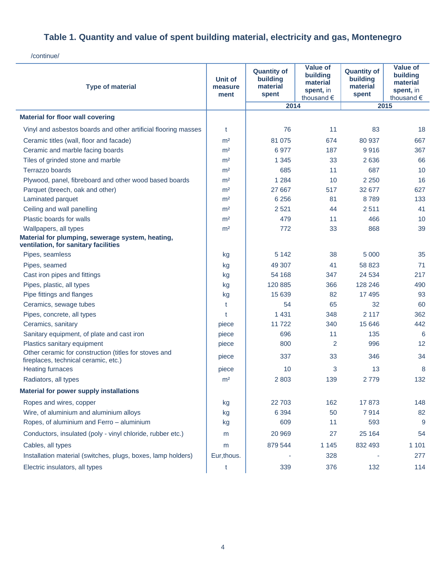/continue/

| <b>Type of material</b>                                                                       | <b>Unit of</b><br>measure<br>ment | <b>Quantity of</b><br>building<br>material<br>spent | <b>Value of</b><br>building<br>material<br>spent, in<br>thousand € | <b>Quantity of</b><br>building<br>material<br>spent | <b>Value of</b><br>building<br>material<br>spent, in<br>thousand € |
|-----------------------------------------------------------------------------------------------|-----------------------------------|-----------------------------------------------------|--------------------------------------------------------------------|-----------------------------------------------------|--------------------------------------------------------------------|
|                                                                                               |                                   | 2014                                                |                                                                    | 2015                                                |                                                                    |
| <b>Material for floor wall covering</b>                                                       |                                   |                                                     |                                                                    |                                                     |                                                                    |
| Vinyl and asbestos boards and other artificial flooring masses                                | t                                 | 76                                                  | 11                                                                 | 83                                                  | 18                                                                 |
| Ceramic titles (wall, floor and facade)                                                       | m <sup>2</sup>                    | 81 075                                              | 674                                                                | 80 937                                              | 667                                                                |
| Ceramic and marble facing boards                                                              | m <sup>2</sup>                    | 6977                                                | 187                                                                | 9916                                                | 367                                                                |
| Tiles of grinded stone and marble                                                             | m <sup>2</sup>                    | 1 3 4 5                                             | 33                                                                 | 2636                                                | 66                                                                 |
| Terrazzo boards                                                                               | m <sup>2</sup>                    | 685                                                 | 11                                                                 | 687                                                 | 10                                                                 |
| Plywood, panel, fibreboard and other wood based boards                                        | m <sup>2</sup>                    | 1 2 8 4                                             | 10                                                                 | 2 2 5 0                                             | 16                                                                 |
| Parquet (breech, oak and other)                                                               | m <sup>2</sup>                    | 27 667                                              | 517                                                                | 32 677                                              | 627                                                                |
| Laminated parquet                                                                             | m <sup>2</sup>                    | 6 2 5 6                                             | 81                                                                 | 8789                                                | 133                                                                |
| Ceiling and wall panelling                                                                    | m <sup>2</sup>                    | 2 5 21                                              | 44                                                                 | 2511                                                | 41                                                                 |
| Plastic boards for walls                                                                      | m <sup>2</sup>                    | 479                                                 | 11                                                                 | 466                                                 | 10                                                                 |
| Wallpapers, all types                                                                         | m <sup>2</sup>                    | 772                                                 | 33                                                                 | 868                                                 | 39                                                                 |
| Material for plumping, sewerage system, heating,<br>ventilation, for sanitary facilities      |                                   |                                                     |                                                                    |                                                     |                                                                    |
| Pipes, seamless                                                                               | kg                                | 5 1 4 2                                             | 38                                                                 | 5 0 0 0                                             | 35                                                                 |
| Pipes, seamed                                                                                 | kg                                | 49 307                                              | 41                                                                 | 58 823                                              | 71                                                                 |
| Cast iron pipes and fittings                                                                  | kg                                | 54 168                                              | 347                                                                | 24 5 34                                             | 217                                                                |
| Pipes, plastic, all types                                                                     | kg                                | 120 885                                             | 366                                                                | 128 246                                             | 490                                                                |
| Pipe fittings and flanges                                                                     | kg                                | 15 639                                              | 82                                                                 | 17 495                                              | 93                                                                 |
| Ceramics, sewage tubes                                                                        | t                                 | 54                                                  | 65                                                                 | 32                                                  | 60                                                                 |
| Pipes, concrete, all types                                                                    | t                                 | 1 4 3 1                                             | 348                                                                | 2 1 1 7                                             | 362                                                                |
| Ceramics, sanitary                                                                            | piece                             | 11722                                               | 340                                                                | 15 646                                              | 442                                                                |
| Sanitary equipment, of plate and cast iron                                                    | piece                             | 696                                                 | 11                                                                 | 135                                                 | 6                                                                  |
| Plastics sanitary equipment                                                                   | piece                             | 800                                                 | $\overline{2}$                                                     | 996                                                 | $12 \overline{ }$                                                  |
| Other ceramic for construction (titles for stoves and<br>fireplaces, technical ceramic, etc.) | piece                             | 337                                                 | 33                                                                 | 346                                                 | 34                                                                 |
| <b>Heating furnaces</b>                                                                       | piece                             | 10                                                  | 3                                                                  | 13                                                  | 8                                                                  |
| Radiators, all types                                                                          | m <sup>2</sup>                    | 2 8 0 3                                             | 139                                                                | 2779                                                | 132                                                                |
| <b>Material for power supply installations</b>                                                |                                   |                                                     |                                                                    |                                                     |                                                                    |
| Ropes and wires, copper                                                                       | kg                                | 22 703                                              | 162                                                                | 17873                                               | 148                                                                |
| Wire, of aluminium and aluminium alloys                                                       | kg                                | 6 3 9 4                                             | 50                                                                 | 7914                                                | 82                                                                 |
| Ropes, of aluminium and Ferro - aluminium                                                     | kg                                | 609                                                 | 11                                                                 | 593                                                 | 9                                                                  |
| Conductors, insulated (poly - vinyl chloride, rubber etc.)                                    | m                                 | 20 969                                              | 27                                                                 | 25 164                                              | 54                                                                 |
| Cables, all types                                                                             | m                                 | 879 544                                             | 1 1 4 5                                                            | 832 493                                             | 1 1 0 1                                                            |
| Installation material (switches, plugs, boxes, lamp holders)                                  | Eur, thous.                       |                                                     | 328                                                                |                                                     | 277                                                                |
| Electric insulators, all types                                                                | t                                 | 339                                                 | 376                                                                | 132                                                 | 114                                                                |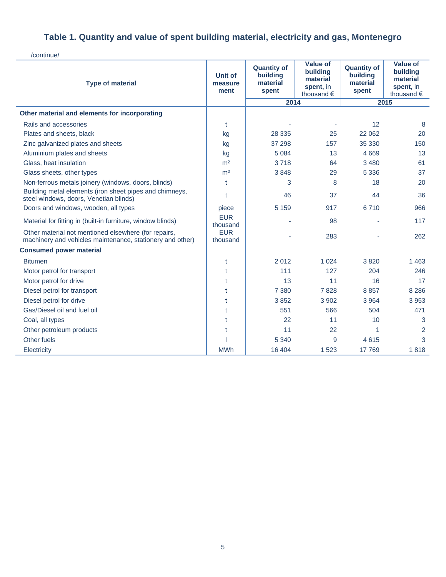/continue/

| <b>Type of material</b>                                                                                           | <b>Unit of</b><br>measure<br>ment | <b>Quantity of</b><br>building<br>material<br>spent | <b>Value of</b><br>building<br>material<br>spent, in<br>thousand € | <b>Quantity of</b><br>building<br>material<br>spent | <b>Value of</b><br>building<br>material<br>spent, in<br>thousand $\epsilon$ |
|-------------------------------------------------------------------------------------------------------------------|-----------------------------------|-----------------------------------------------------|--------------------------------------------------------------------|-----------------------------------------------------|-----------------------------------------------------------------------------|
|                                                                                                                   |                                   | 2014                                                |                                                                    | 2015                                                |                                                                             |
| Other material and elements for incorporating                                                                     |                                   |                                                     |                                                                    |                                                     |                                                                             |
| Rails and accessories                                                                                             | t                                 |                                                     |                                                                    | 12                                                  | 8                                                                           |
| Plates and sheets, black                                                                                          | kg                                | 28 335                                              | 25                                                                 | 22 062                                              | 20                                                                          |
| Zinc galvanized plates and sheets                                                                                 | kg                                | 37 298                                              | 157                                                                | 35 330                                              | 150                                                                         |
| Aluminium plates and sheets                                                                                       | kg                                | 5 0 8 4                                             | 13                                                                 | 4 6 6 9                                             | 13                                                                          |
| Glass, heat insulation                                                                                            | m <sup>2</sup>                    | 3718                                                | 64                                                                 | 3 4 8 0                                             | 61                                                                          |
| Glass sheets, other types                                                                                         | m <sup>2</sup>                    | 3848                                                | 29                                                                 | 5 3 3 6                                             | 37                                                                          |
| Non-ferrous metals joinery (windows, doors, blinds)                                                               | t                                 | 3                                                   | 8                                                                  | 18                                                  | 20                                                                          |
| Building metal elements (iron sheet pipes and chimneys,<br>steel windows, doors, Venetian blinds)                 | t                                 | 46                                                  | 37                                                                 | 44                                                  | 36                                                                          |
| Doors and windows, wooden, all types                                                                              | piece                             | 5 1 5 9                                             | 917                                                                | 6710                                                | 966                                                                         |
| Material for fitting in (built-in furniture, window blinds)                                                       | <b>EUR</b><br>thousand            |                                                     | 98                                                                 |                                                     | 117                                                                         |
| Other material not mentioned elsewhere (for repairs,<br>machinery and vehicles maintenance, stationery and other) | <b>EUR</b><br>thousand            |                                                     | 283                                                                |                                                     | 262                                                                         |
| <b>Consumed power material</b>                                                                                    |                                   |                                                     |                                                                    |                                                     |                                                                             |
| <b>Bitumen</b>                                                                                                    | t                                 | 2012                                                | 1 0 2 4                                                            | 3820                                                | 1463                                                                        |
| Motor petrol for transport                                                                                        | t                                 | 111                                                 | 127                                                                | 204                                                 | 246                                                                         |
| Motor petrol for drive                                                                                            | t                                 | 13                                                  | 11                                                                 | 16                                                  | 17                                                                          |
| Diesel petrol for transport                                                                                       | t                                 | 7 3 8 0                                             | 7828                                                               | 8857                                                | 8 2 8 6                                                                     |
| Diesel petrol for drive                                                                                           | t                                 | 3852                                                | 3 9 0 2                                                            | 3 9 6 4                                             | 3 9 5 3                                                                     |
| Gas/Diesel oil and fuel oil                                                                                       | t                                 | 551                                                 | 566                                                                | 504                                                 | 471                                                                         |
| Coal, all types                                                                                                   | t                                 | 22                                                  | 11                                                                 | 10                                                  | 3                                                                           |
| Other petroleum products                                                                                          | t                                 | 11                                                  | 22                                                                 | 1                                                   | 2                                                                           |
| Other fuels                                                                                                       |                                   | 5 3 4 0                                             | 9                                                                  | 4615                                                | 3                                                                           |
| Electricity                                                                                                       | <b>MWh</b>                        | 16 404                                              | 1523                                                               | 17769                                               | 1818                                                                        |